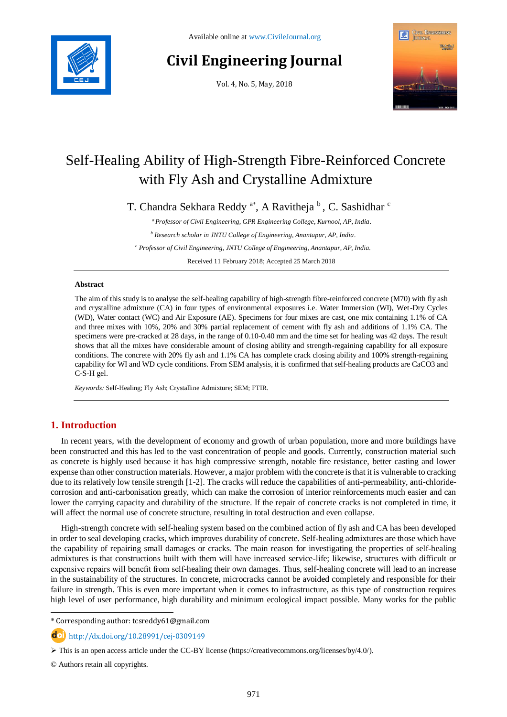

# **Civil Engineering Journal**

Vol. 4, No. 5, May, 2018



## Self-Healing Ability of High-Strength Fibre-Reinforced Concrete with Fly Ash and Crystalline Admixture

T. Chandra Sekhara Reddy<sup>a\*</sup>, A Ravitheja <sup>b</sup>, C. Sashidhar <sup>c</sup>

*<sup>a</sup> Professor of Civil Engineering, GPR Engineering College, Kurnool, AP, India.*

*<sup>b</sup> Research scholar in JNTU College of Engineering, Anantapur, AP, India.*

*<sup>c</sup> Professor of Civil Engineering, JNTU College of Engineering, Anantapur, AP, India.*

Received 11 February 2018; Accepted 25 March 2018

#### **Abstract**

The aim of this study is to analyse the self-healing capability of high-strength fibre-reinforced concrete (M70) with fly ash and crystalline admixture (CA) in four types of environmental exposures i.e. Water Immersion (WI), Wet-Dry Cycles (WD), Water contact (WC) and Air Exposure (AE). Specimens for four mixes are cast, one mix containing 1.1% of CA and three mixes with 10%, 20% and 30% partial replacement of cement with fly ash and additions of 1.1% CA. The specimens were pre-cracked at 28 days, in the range of 0.10-0.40 mm and the time set for healing was 42 days. The result shows that all the mixes have considerable amount of closing ability and strength-regaining capability for all exposure conditions. The concrete with 20% fly ash and 1.1% CA has complete crack closing ability and 100% strength-regaining capability for WI and WD cycle conditions. From SEM analysis, it is confirmed that self-healing products are CaCO3 and C-S-H gel.

*Keywords:* Self-Healing; Fly Ash; Crystalline Admixture; SEM; FTIR.

## **1. Introduction**

In recent years, with the development of economy and growth of urban population, more and more buildings have been constructed and this has led to the vast concentration of people and goods. Currently, construction material such as concrete is highly used because it has high compressive strength, notable fire resistance, better casting and lower expense than other construction materials. However, a major problem with the concrete is that it is vulnerable to cracking due to its relatively low tensile strength [1-2]. The cracks will reduce the capabilities of anti-permeability, anti-chloridecorrosion and anti-carbonisation greatly, which can make the corrosion of interior reinforcements much easier and can lower the carrying capacity and durability of the structure. If the repair of concrete cracks is not completed in time, it will affect the normal use of concrete structure, resulting in total destruction and even collapse.

High-strength concrete with self-healing system based on the combined action of fly ash and CA has been developed in order to seal developing cracks, which improves durability of concrete. Self-healing admixtures are those which have the capability of repairing small damages or cracks. The main reason for investigating the properties of self-healing admixtures is that constructions built with them will have increased service-life; likewise, structures with difficult or expensive repairs will benefit from self-healing their own damages. Thus, self-healing concrete will lead to an increase in the sustainability of the structures. In concrete, microcracks cannot be avoided completely and responsible for their failure in strength. This is even more important when it comes to infrastructure, as this type of construction requires high level of user performance, high durability and minimum ecological impact possible. Many works for the public

\* Corresponding author: tcsreddy61@gmail.com

http://dx.doi.org/10.28991/cej-0309149

© Authors retain all copyrights.

l

 $\triangleright$  This is an open access article under the CC-BY license [\(https://creativecommons.org/licenses/by/4.0/\)](https://creativecommons.org/licenses/by/4.0/).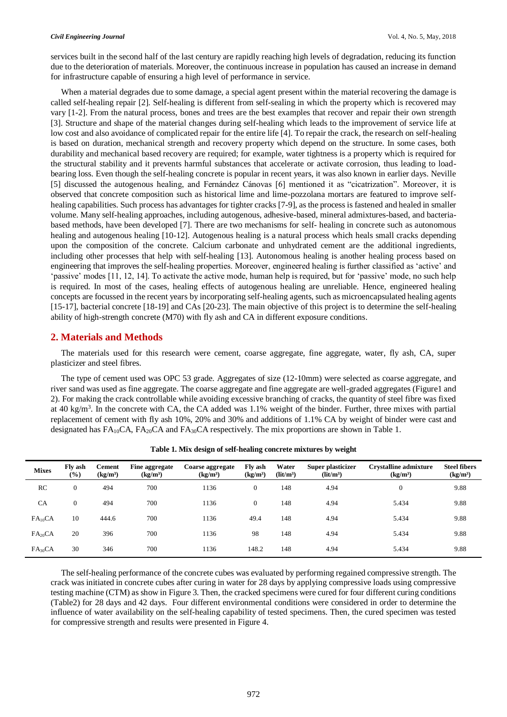services built in the second half of the last century are rapidly reaching high levels of degradation, reducing its function due to the deterioration of materials. Moreover, the continuous increase in population has caused an increase in demand for infrastructure capable of ensuring a high level of performance in service.

When a material degrades due to some damage, a special agent present within the material recovering the damage is called self-healing repair [2]. Self-healing is different from self-sealing in which the property which is recovered may vary [1-2]. From the natural process, bones and trees are the best examples that recover and repair their own strength [3]. Structure and shape of the material changes during self-healing which leads to the improvement of service life at low cost and also avoidance of complicated repair for the entire life [4]. To repair the crack, the research on self-healing is based on duration, mechanical strength and recovery property which depend on the structure. In some cases, both durability and mechanical based recovery are required; for example, water tightness is a property which is required for the structural stability and it prevents harmful substances that accelerate or activate corrosion, thus leading to loadbearing loss. Even though the self-healing concrete is popular in recent years, it was also known in earlier days. Neville [5] discussed the autogenous healing, and Fernández Cánovas [6] mentioned it as "cicatrization". Moreover, it is observed that concrete composition such as historical lime and lime-pozzolana mortars are featured to improve selfhealing capabilities. Such process has advantages for tighter cracks [7-9], as the process is fastened and healed in smaller volume. Many self-healing approaches, including autogenous, adhesive-based, mineral admixtures-based, and bacteriabased methods, have been developed [7]. There are two mechanisms for self- healing in concrete such as autonomous healing and autogenous healing [10-12]. Autogenous healing is a natural process which heals small cracks depending upon the composition of the concrete. Calcium carbonate and unhydrated cement are the additional ingredients, including other processes that help with self-healing [13]. Autonomous healing is another healing process based on engineering that improves the self-healing properties. Moreover, engineered healing is further classified as 'active' and 'passive' modes [11, 12, 14]. To activate the active mode, human help is required, but for 'passive' mode, no such help is required. In most of the cases, healing effects of autogenous healing are unreliable. Hence, engineered healing concepts are focussed in the recent years by incorporating self-healing agents, such as microencapsulated healing agents [15-17], bacterial concrete [18-19] and CAs [20-23]. The main objective of this project is to determine the self-healing ability of high-strength concrete (M70) with fly ash and CA in different exposure conditions.

## **2. Materials and Methods**

The materials used for this research were cement, coarse aggregate, fine aggregate, water, fly ash, CA, super plasticizer and steel fibres.

The type of cement used was OPC 53 grade. Aggregates of size (12-10mm) were selected as coarse aggregate, and river sand was used as fine aggregate. The coarse aggregate and fine aggregate are well-graded aggregates (Figure1 and 2). For making the crack controllable while avoiding excessive branching of cracks, the quantity of steel fibre was fixed at 40 kg/m<sup>3</sup>. In the concrete with CA, the CA added was 1.1% weight of the binder. Further, three mixes with partial replacement of cement with fly ash 10%, 20% and 30% and additions of 1.1% CA by weight of binder were cast and designated has  $FA_{10}CA$ ,  $FA_{20}CA$  and  $FA_{30}CA$  respectively. The mix proportions are shown in Table 1.

| <b>Mixes</b>        | Fly ash<br>$(\%)$ | Cement<br>(kg/m <sup>3</sup> ) | Fine aggregate<br>(kg/m <sup>3</sup> ) | Coarse aggregate<br>(kg/m <sup>3</sup> ) | <b>Fly ash</b><br>(kg/m <sup>3</sup> ) | Water<br>(lit/m <sup>3</sup> ) | Super plasticizer<br>(lit/m <sup>3</sup> ) | <b>Crystalline admixture</b><br>(kg/m <sup>3</sup> ) | <b>Steel fibers</b><br>(kg/m <sup>3</sup> ) |
|---------------------|-------------------|--------------------------------|----------------------------------------|------------------------------------------|----------------------------------------|--------------------------------|--------------------------------------------|------------------------------------------------------|---------------------------------------------|
| RC                  | $\mathbf{0}$      | 494                            | 700                                    | 1136                                     | $\mathbf{0}$                           | 148                            | 4.94                                       | $\mathbf{0}$                                         | 9.88                                        |
| <b>CA</b>           | 0                 | 494                            | 700                                    | 1136                                     | $\overline{0}$                         | 148                            | 4.94                                       | 5.434                                                | 9.88                                        |
| FA <sub>10</sub> CA | 10                | 444.6                          | 700                                    | 1136                                     | 49.4                                   | 148                            | 4.94                                       | 5.434                                                | 9.88                                        |
| FA <sub>20</sub> CA | 20                | 396                            | 700                                    | 1136                                     | 98                                     | 148                            | 4.94                                       | 5.434                                                | 9.88                                        |
| $FA_{30}CA$         | 30                | 346                            | 700                                    | 1136                                     | 148.2                                  | 148                            | 4.94                                       | 5.434                                                | 9.88                                        |

**Table 1. Mix design of self-healing concrete mixtures by weight**

The self-healing performance of the concrete cubes was evaluated by performing regained compressive strength. The crack was initiated in concrete cubes after curing in water for 28 days by applying compressive loads using compressive testing machine (CTM) as show in Figure 3. Then, the cracked specimens were cured for four different curing conditions (Table2) for 28 days and 42 days. Four different environmental conditions were considered in order to determine the influence of water availability on the self-healing capability of tested specimens. Then, the cured specimen was tested for compressive strength and results were presented in Figure 4.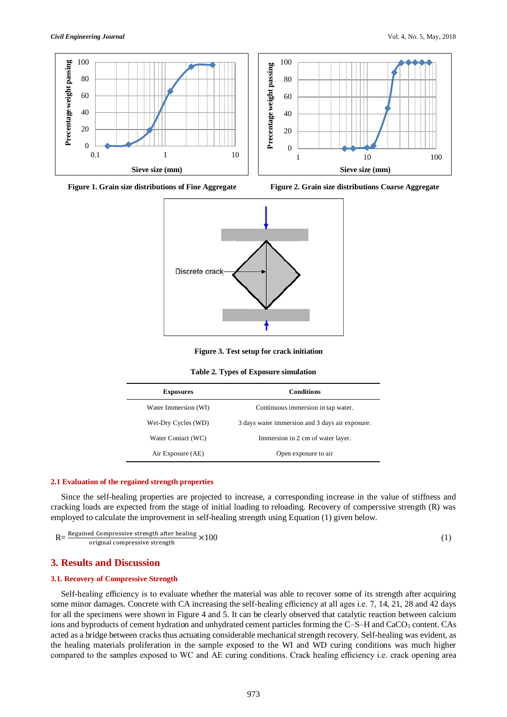









**Figure 3. Test setup for crack initiation** 

|  |  | Table 2. Types of Exposure simulation |  |
|--|--|---------------------------------------|--|
|--|--|---------------------------------------|--|

| <b>Exposures</b>     | <b>Conditions</b>                               |  |  |
|----------------------|-------------------------------------------------|--|--|
| Water Immersion (WI) | Continuous immersion in tap water.              |  |  |
| Wet-Dry Cycles (WD)  | 3 days water immersion and 3 days air exposure. |  |  |
| Water Contact (WC)   | Immersion in 2 cm of water layer.               |  |  |
| Air Exposure (AE)    | Open exposure to air                            |  |  |

#### **2.1 Evaluation of the regained strength properties**

Since the self-healing properties are projected to increase, a corresponding increase in the value of stiffness and cracking loads are expected from the stage of initial loading to reloading. Recovery of comperssive strength (R) was employed to calculate the improvement in self-healing strength using Equation (1) given below.

 $R = \frac{Required \text{ Compressive strength after healing}}{8400 \text{ K}}$ original compressive strength  $\times100$  (1)

## **3. Results and Discussion**

#### **3.1. Recovery of Compressive Strength**

Self-healing efficiency is to evaluate whether the material was able to recover some of its strength after acquiring some minor damages. Concrete with CA increasing the self-healing efficiency at all ages i.e. 7, 14, 21, 28 and 42 days for all the specimens were shown in Figure 4 and 5. It can be clearly observed that catalytic reaction between calcium ions and byproducts of cement hydration and unhydrated cement particles forming the C–S–H and CaCO<sub>3</sub> content. CAs acted as a bridge between cracks thus actuating considerable mechanical strength recovery. Self-healing was evident, as the healing materials proliferation in the sample exposed to the WI and WD curing conditions was much higher compared to the samples exposed to WC and AE curing conditions. Crack healing efficiency i.e. crack opening area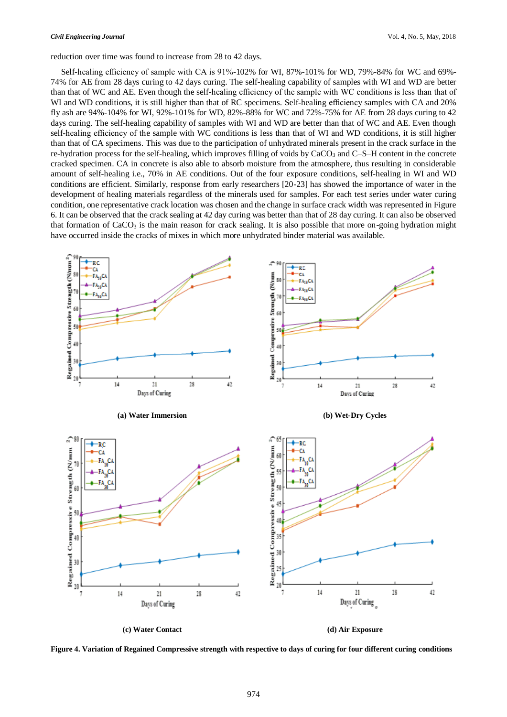reduction over time was found to increase from 28 to 42 days.

Self-healing efficiency of sample with CA is 91%-102% for WI, 87%-101% for WD, 79%-84% for WC and 69%- 74% for AE from 28 days curing to 42 days curing. The self-healing capability of samples with WI and WD are better than that of WC and AE. Even though the self-healing efficiency of the sample with WC conditions is less than that of WI and WD conditions, it is still higher than that of RC specimens. Self-healing efficiency samples with CA and 20% fly ash are 94%-104% for WI, 92%-101% for WD, 82%-88% for WC and 72%-75% for AE from 28 days curing to 42 days curing. The self-healing capability of samples with WI and WD are better than that of WC and AE. Even though self-healing efficiency of the sample with WC conditions is less than that of WI and WD conditions, it is still higher than that of CA specimens. This was due to the participation of unhydrated minerals present in the crack surface in the re-hydration process for the self-healing, which improves filling of voids by CaCO<sub>3</sub> and C–S–H content in the concrete cracked specimen. CA in concrete is also able to absorb moisture from the atmosphere, thus resulting in considerable amount of self-healing i.e., 70% in AE conditions. Out of the four exposure conditions, self-healing in WI and WD conditions are efficient. Similarly, response from early researchers [20-23] has showed the importance of water in the development of healing materials regardless of the minerals used for samples. For each test series under water curing condition, one representative crack location was chosen and the change in surface crack width was represented in Figure 6. It can be observed that the crack sealing at 42 day curing was better than that of 28 day curing. It can also be observed that formation of  $CaCO<sub>3</sub>$  is the main reason for crack sealing. It is also possible that more on-going hydration might have occurred inside the cracks of mixes in which more unhydrated binder material was available.



**Figure 4. Variation of Regained Compressive strength with respective to days of curing for four different curing conditions**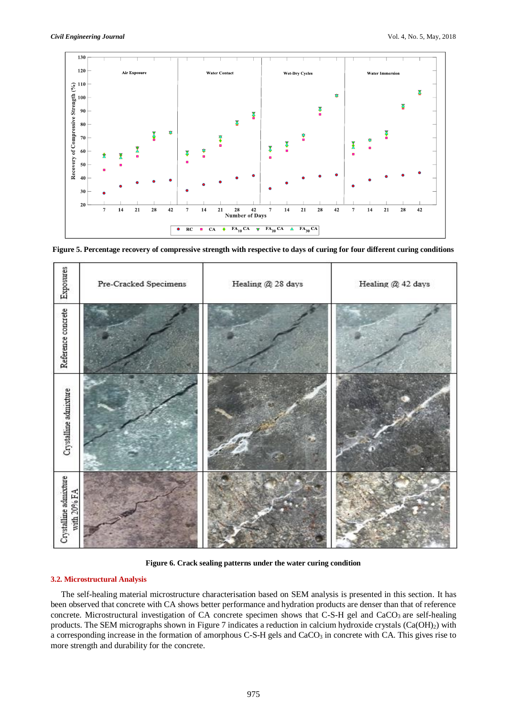

**Figure 5. Percentage recovery of compressive strength with respective to days of curing for four different curing conditions**



**Figure 6. Crack sealing patterns under the water curing condition**

#### **3.2. Microstructural Analysis**

The self-healing material microstructure characterisation based on SEM analysis is presented in this section. It has been observed that concrete with CA shows better performance and hydration products are denser than that of reference concrete. Microstructural investigation of CA concrete specimen shows that C-S-H gel and CaCO<sub>3</sub> are self-healing products. The SEM micrographs shown in Figure 7 indicates a reduction in calcium hydroxide crystals (Ca(OH)<sub>2</sub>) with a corresponding increase in the formation of amorphous C-S-H gels and CaCO<sub>3</sub> in concrete with CA. This gives rise to more strength and durability for the concrete.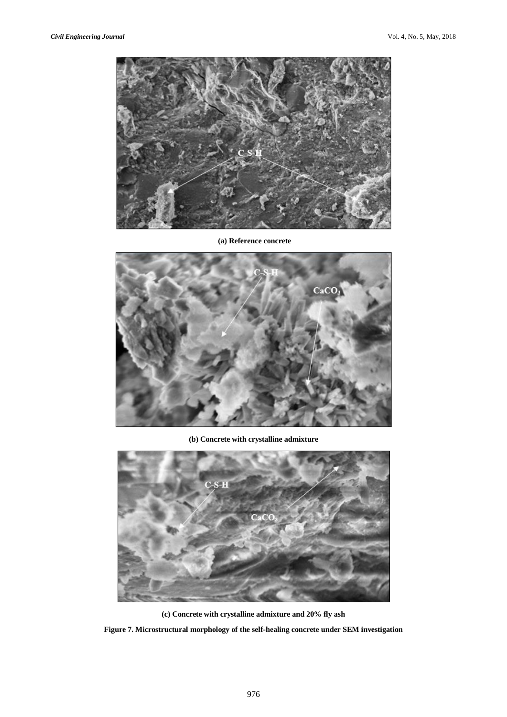

**(a) Reference concrete**



**(b) Concrete with crystalline admixture** 



**(c) Concrete with crystalline admixture and 20% fly ash**

**Figure 7. Microstructural morphology of the self-healing concrete under SEM investigation**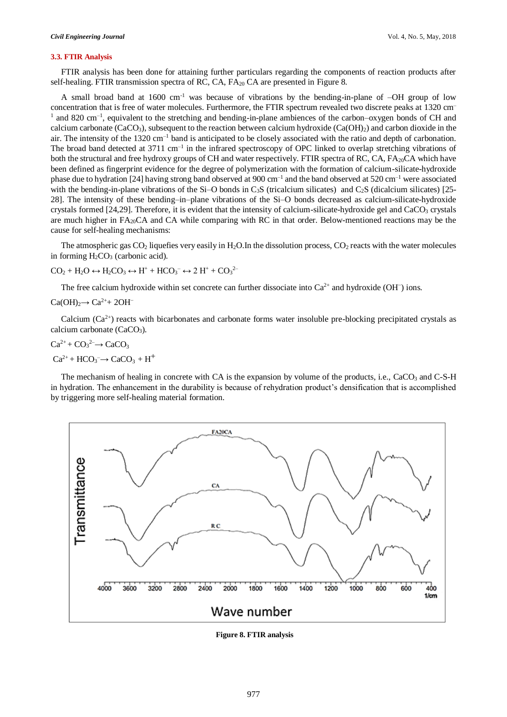#### **3.3. FTIR Analysis**

FTIR analysis has been done for attaining further particulars regarding the components of reaction products after self-healing. FTIR transmission spectra of RC, CA, FA<sub>20</sub> CA are presented in Figure 8.

A small broad band at 1600 cm<sup>-1</sup> was because of vibrations by the bending-in-plane of  $-OH$  group of low concentration that is free of water molecules. Furthermore, the FTIR spectrum revealed two discrete peaks at 1320 cm–  $1$  and 820 cm<sup>-1</sup>, equivalent to the stretching and bending-in-plane ambiences of the carbon–oxygen bonds of CH and calcium carbonate (CaCO<sub>3</sub>), subsequent to the reaction between calcium hydroxide (Ca(OH)<sub>2</sub>) and carbon dioxide in the air. The intensity of the 1320 cm<sup>-1</sup> band is anticipated to be closely associated with the ratio and depth of carbonation. The broad band detected at  $3711 \text{ cm}^{-1}$  in the infrared spectroscopy of OPC linked to overlap stretching vibrations of both the structural and free hydroxy groups of CH and water respectively. FTIR spectra of RC, CA, FA<sub>20</sub>CA which have been defined as fingerprint evidence for the degree of polymerization with the formation of calcium-silicate-hydroxide phase due to hydration [24] having strong band observed at  $900 \text{ cm}^{-1}$  and the band observed at  $520 \text{ cm}^{-1}$  were associated with the bending-in-plane vibrations of the Si–O bonds in  $C_3S$  (tricalcium silicates) and  $C_2S$  (dicalcium silicates) [25-28]. The intensity of these bending–in–plane vibrations of the Si–O bonds decreased as calcium-silicate-hydroxide crystals formed [24,29]. Therefore, it is evident that the intensity of calcium-silicate-hydroxide gel and CaCO<sub>3</sub> crystals are much higher in  $FA_{20}CA$  and CA while comparing with RC in that order. Below-mentioned reactions may be the cause for self-healing mechanisms:

The atmospheric gas  $CO_2$  liquefies very easily in H<sub>2</sub>O.In the dissolution process,  $CO_2$  reacts with the water molecules in forming  $H_2CO_3$  (carbonic acid).

$$
CO_2 + H_2O \leftrightarrow H_2CO_3 \leftrightarrow H^+ + HCO_3^- \leftrightarrow 2 H^+ + CO_3^{2-}
$$

The free calcium hydroxide within set concrete can further dissociate into  $Ca^{2+}$  and hydroxide (OH<sup>−</sup>) ions.

$$
Ca(OH)_2 \rightarrow Ca^{2+} + 2OH^-
$$

Calcium  $(Ca^{2+})$  reacts with bicarbonates and carbonate forms water insoluble pre-blocking precipitated crystals as calcium carbonate (CaCO<sub>3</sub>).

$$
Ca^{2+} + CO_3^{2-} \rightarrow CaCO_3
$$

$$
Ca^{2+} + HCO_3 \rightarrow CaCO_3 + H^+
$$

The mechanism of healing in concrete with CA is the expansion by volume of the products, i.e., CaCO<sub>3</sub> and C-S-H in hydration. The enhancement in the durability is because of rehydration product's densification that is accomplished by triggering more self-healing material formation.



**Figure 8. FTIR analysis**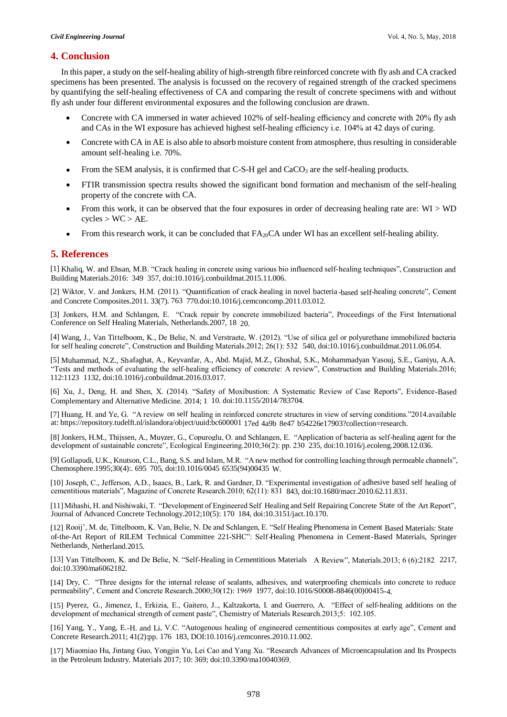### **4. Conclusion**

In this paper, a study on the self-healing ability of high-strength fibre reinforced concrete with fly ash and CA cracked specimens has been presented. The analysis is focussed on the recovery of regained strength of the cracked specimens by quantifying the self-healing effectiveness of CA and comparing the result of concrete specimens with and without fly ash under four different environmental exposures and the following conclusion are drawn.

- Concrete with CA immersed in water achieved 102% of self-healing efficiency and concrete with 20% fly ash and CAs in the WI exposure has achieved highest self-healing efficiency i.e. 104% at 42 days of curing.
- Concrete with CA in AE is also able to absorb moisture content from atmosphere, thus resulting in considerable amount self-healing i.e. 70%.
- From the SEM analysis, it is confirmed that  $C-S-H$  gel and  $CaCO<sub>3</sub>$  are the self-healing products.
- FTIR transmission spectra results showed the significant bond formation and mechanism of the self-healing property of the concrete with CA.
- From this work, it can be observed that the four exposures in order of decreasing healing rate are: WI > WD  $cycles > WC > AE$ .
- From this research work, it can be concluded that  $FA_{20}CA$  under WI has an excellent self-healing ability.

#### **5. References**

[1] Khaliq, W. and Ehsan, M.B. "Crack healing in concrete using various bio influenced self-healing techniques", Construction and Building Materials.2016: 349– 357, doi:10.1016/j.conbuildmat.2015.11.006.

[2] Wiktor, V. and Jonkers, H.M. (2011). "Quantification of crack-healing in novel bacteria -based self-healing concrete", Cement and Concrete Composites.2011. 33(7). 763– 770.doi:10.1016/j.cemconcomp.2011.03.012.

[3] Jonkers, H.M. and Schlangen, E. "Crack repair by concrete immobilized bacteria", Proceedings of the First International Conference on Self Healing Materials, Netherlands.2007, 18– 20.

[4] Wang, J., Van Tittelboom, K., De Belie, N. and Verstraete, W. (2012). "Use of silica gel or polyurethane immobilized bacteria for self-healing concrete", Construction and Building Materials.2012; 26(1): 532– 540, doi:10.1016/j.conbuildmat.2011.06.054.

[5] Muhammad, N.Z., Shafaghat, A., Keyvanfar, A., Abd. Majid, M.Z., Ghoshal, S.K., Mohammadyan Yasouj, S.E., Ganiyu, A.A. "Tests and methods of evaluating the self-healing efficiency of concrete: A review", Construction and Building Materials.2016; 112:1123– 1132, doi:10.1016/j.conbuildmat.2016.03.017.

[6] Xu, J., Deng, H. and Shen, X. (2014). "Safety of Moxibustion: A Systematic Review of Case Reports", Evidence-Based Complementary and Alternative Medicine. 2014; 1– 10. doi:10.1155/2014/783704.

[7] Huang, H. and Ye, G. "A review on self-healing in reinforced concrete structures in view of serving conditions."2014.available at: https://repository.tudelft.nl/islandora/object/uuid:bc600001- 17ed-4a9b-8e47- b54226e17903?collection=research.

[8] Jonkers, H.M., Thijssen, A., Muyzer, G., Copuroglu, O. and Schlangen, E. "Application of bacteria as self-healing agent for the development of sustainable concrete", Ecological Engineering.2010;36(2): pp. 230– 235, doi:10.1016/j.ecoleng.2008.12.036.

[9] Gollapudi, U.K., Knutson, C.L., Bang, S.S. and Islam, M.R. "A new method for controlling leaching through permeable channels", Chemosphere.1995;30(4):. 695– 705, doi:10.1016/0045- 6535(94)00435-W.

[10] Joseph, C., Jefferson, A.D., Isaacs, B., Lark, R. and Gardner, D. "Experimental investigation of adhesive based self healing of cementitious materials", Magazine of Concrete Research.2010; 62(11): 831– 843, doi:10.1680/macr.2010.62.11.831.

[11] Mihashi, H. and Nishiwaki, T. "Development of Engineered Self-Healing and Self-Repairing Concrete State of the Art Report", Journal of Advanced Concrete Technology.2012;10(5): 170– 184, doi:10.3151/jact.10.170.

[12] Rooij', M. de, Tittelboom, K. Van, Belie, N. De and Schlangen, E. "Self-Healing Phenomena in Cement-Based Materials: Stateof-the-Art Report of RILEM Technical Committee 221-SHC": Self-Healing Phenomena in Cement-Based Materials, Springer Netherlands, Netherland.2015.

[13] Van Tittelboom, K. and De Belie, N. "Self-Healing in Cementitious Materials A Review", Materials.2013; 6 (6):2182 2217, doi:10.3390/ma6062182.

[14] Dry, C. "Three designs for the internal release of sealants, adhesives, and waterproofing chemicals into concrete to reduce permeability", Cement and Concrete Research.2000;30(12): 1969– 1977, doi:10.1016/S0008-8846(00)00415-4.

[15] Pyerez, G., Jimenez, I., Erkizia, E., Gaitero, J.., Kaltzakorta, I. and Guerrero, A. "Effect of self-healing additions on the development of mechanical strength of cement paste", Chemistry of Materials Research.2013;5: 102.105.

[16] Yang, Y., Yang, E.-H. and Li, V.C. "Autogenous healing of engineered cementitious composites at early age", Cement and Concrete Research.2011; 41(2):pp. 176– 183, DOI:10.1016/j.cemconres.2010.11.002.

[17] Miaomiao Hu, Jintang Guo, Yongjin Yu, Lei Cao and Yang Xu. "Research Advances of Microencapsulation and Its Prospects in the Petroleum Industry. Materials 2017; 10: 369; doi:10.3390/ma10040369.